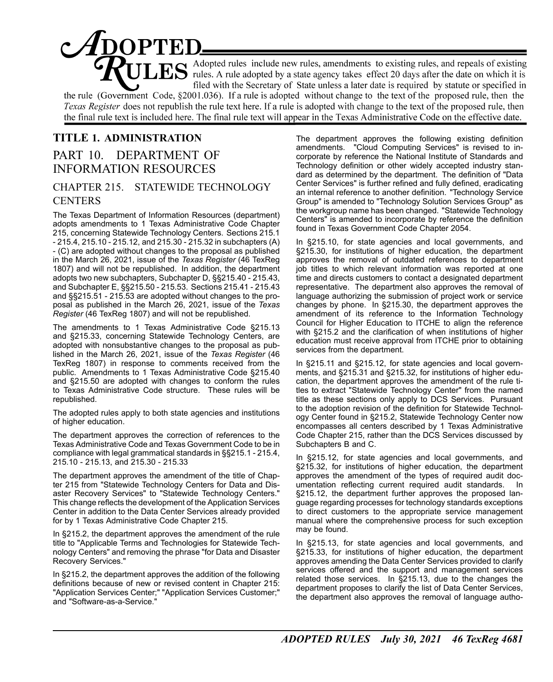**COPTED**<br>TULES Adopted rules include new rules, amendments to existing rules, and repeals of existing<br>FOULES rules. A rule adopted by a state agency takes effect 20 days after the date on which it is<br>filed with the Secreta filed with the Secretary of State unless a later date is required by statute or specified in the rule (Government Code,  $\S 2001.036$ ). If a rule is adopted without change to the text of the proposed rule, then the Texas Register does not republish the rule text here. If a rule is adopted with change to the text of the proposed rule, then the final rule text is included here. The final rule text will appear in the Texas Administrative Code on the effective date.

# **TITLE 1. ADMINISTRATION**

# PART 10. DEPARTMENT OF INFORMATION RESOURCES

# CHAPTER 215. STATEWIDE TECHNOLOGY **CENTERS**

The Texas Department of Information Resources (department) adopts amendments to 1 Texas Administrative Code Chapter 215, concerning Statewide Technology Centers. Sections 215.1 - 215.4, 215.10 - 215.12, and 215.30 - 215.32 in subchapters (A) - (C) are adopted without changes to the proposal as published in the March 26, 2021, issue of the *Texas Register* (46 TexReg 1807) and will not be republished. In addition, the department adopts two new subchapters, Subchapter D, §§215.40 - 215.43, and Subchapter E, §§215.50 - 215.53. Sections 215.41 - 215.43 and §§215.51 - 215.53 are adopted without changes to the proposal as published in the March 26, 2021, issue of the *Texas Register* (46 TexReg 1807) and will not be republished.

The amendments to 1 Texas Administrative Code §215.13 and §215.33, concerning Statewide Technology Centers, are adopted with nonsubstantive changes to the proposal as published in the March 26, 2021, issue of the *Texas Register* (46 TexReg 1807) in response to comments received from the public. Amendments to 1 Texas Administrative Code §215.40 and §215.50 are adopted with changes to conform the rules to Texas Administrative Code structure. These rules will be republished.

The adopted rules apply to both state agencies and institutions of higher education.

The department approves the correction of references to the Texas Administrative Code and Texas Government Code to be in compliance with legal grammatical standards in §§215.1 - 215.4, 215.10 - 215.13, and 215.30 - 215.33

The department approves the amendment of the title of Chapter 215 from "Statewide Technology Centers for Data and Disaster Recovery Services" to "Statewide Technology Centers." This change reflects the development of the Application Services Center in addition to the Data Center Services already provided for by 1 Texas Administrative Code Chapter 215.

In §215.2, the department approves the amendment of the rule title to "Applicable Terms and Technologies for Statewide Technology Centers" and removing the phrase "for Data and Disaster Recovery Services."

In §215.2, the department approves the addition of the following definitions because of new or revised content in Chapter 215: "Application Services Center;" "Application Services Customer;" and "Software-as-a-Service."

The department approves the following existing definition amendments. "Cloud Computing Services" is revised to incorporate by reference the National Institute of Standards and Technology definition or other widely accepted industry standard as determined by the department. The definition of "Data Center Services" is further refined and fully defined, eradicating an internal reference to another definition. "Technology Service Group" is amended to "Technology Solution Services Group" as the workgroup name has been changed. "Statewide Technology Centers" is amended to incorporate by reference the definition found in Texas Government Code Chapter 2054.

In §215.10, for state agencies and local governments, and §215.30, for institutions of higher education, the department approves the removal of outdated references to department job titles to which relevant information was reported at one time and directs customers to contact a designated department representative. The department also approves the removal of language authorizing the submission of project work or service changes by phone. In §215.30, the department approves the amendment of its reference to the Information Technology Council for Higher Education to ITCHE to align the reference with §215.2 and the clarification of when institutions of higher education must receive approval from ITCHE prior to obtaining services from the department.

In §215.11 and §215.12, for state agencies and local governments, and §215.31 and §215.32, for institutions of higher education, the department approves the amendment of the rule titles to extract "Statewide Technology Center" from the named title as these sections only apply to DCS Services. Pursuant to the adoption revision of the definition for Statewide Technology Center found in §215.2, Statewide Technology Center now encompasses all centers described by 1 Texas Administrative Code Chapter 215, rather than the DCS Services discussed by Subchapters B and C.

In §215.12, for state agencies and local governments, and §215.32, for institutions of higher education, the department approves the amendment of the types of required audit documentation reflecting current required audit standards. In §215.12, the department further approves the proposed language regarding processes for technology standards exceptions to direct customers to the appropriate service management manual where the comprehensive process for such exception may be found.

In §215.13, for state agencies and local governments, and §215.33, for institutions of higher education, the department approves amending the Data Center Services provided to clarify services offered and the support and management services related those services. In §215.13, due to the changes the department proposes to clarify the list of Data Center Services, the department also approves the removal of language autho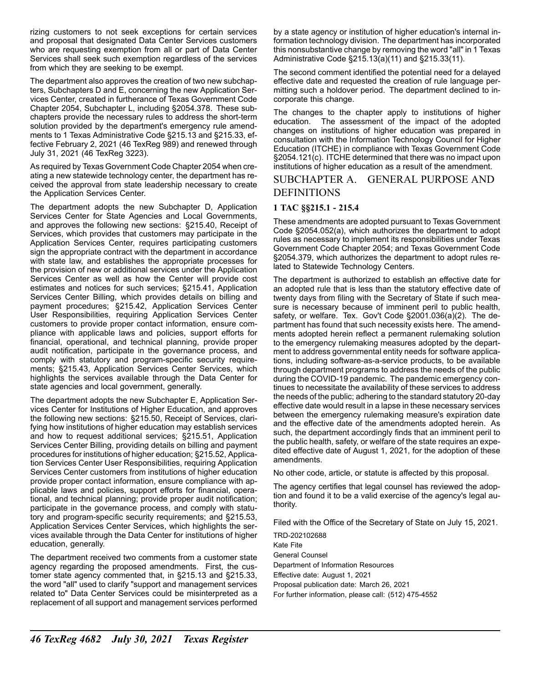rizing customers to not seek exceptions for certain services and proposal that designated Data Center Services customers who are requesting exemption from all or part of Data Center Services shall seek such exemption regardless of the services from which they are seeking to be exempt.

The department also approves the creation of two new subchapters, Subchapters D and E, concerning the new Application Services Center, created in furtherance of Texas Government Code Chapter 2054, Subchapter L, including §2054.378. These subchapters provide the necessary rules to address the short-term solution provided by the department's emergency rule amendments to 1 Texas Administrative Code §215.13 and §215.33, effective February 2, 2021 (46 TexReg 989) and renewed through July 31, 2021 (46 TexReg 3223).

As required by Texas Government Code Chapter 2054 when creating a new statewide technology center, the department has received the approval from state leadership necessary to create the Application Services Center.

The department adopts the new Subchapter D, Application Services Center for State Agencies and Local Governments, and approves the following new sections: §215.40, Receipt of Services, which provides that customers may participate in the Application Services Center, requires participating customers sign the appropriate contract with the department in accordance with state law, and establishes the appropriate processes for the provision of new or additional services under the Application Services Center as well as how the Center will provide cost estimates and notices for such services; §215.41, Application Services Center Billing, which provides details on billing and payment procedures; §215.42, Application Services Center User Responsibilities, requiring Application Services Center customers to provide proper contact information, ensure compliance with applicable laws and policies, support efforts for financial, operational, and technical planning, provide proper audit notification, participate in the governance process, and comply with statutory and program-specific security requirements; §215.43, Application Services Center Services, which highlights the services available through the Data Center for state agencies and local government, generally.

The department adopts the new Subchapter E, Application Services Center for Institutions of Higher Education, and approves the following new sections: §215.50, Receipt of Services, clarifying how institutions of higher education may establish services and how to request additional services; §215.51, Application Services Center Billing, providing details on billing and payment procedures for institutions of higher education; §215.52, Application Services Center User Responsibilities, requiring Application Services Center customers from institutions of higher education provide proper contact information, ensure compliance with applicable laws and policies, support efforts for financial, operational, and technical planning; provide proper audit notification; participate in the governance process, and comply with statutory and program-specific security requirements; and §215.53, Application Services Center Services, which highlights the services available through the Data Center for institutions of higher education, generally.

The department received two comments from a customer state agency regarding the proposed amendments. First, the customer state agency commented that, in §215.13 and §215.33, the word "all" used to clarify "support and management services related to" Data Center Services could be misinterpreted as a replacement of all support and management services performed

by a state agency or institution of higher education's internal information technology division. The department has incorporated this nonsubstantive change by removing the word "all" in 1 Texas Administrative Code §215.13(a)(11) and §215.33(11).

The second comment identified the potential need for a delayed effective date and requested the creation of rule language permitting such a holdover period. The department declined to incorporate this change.

The changes to the chapter apply to institutions of higher education. The assessment of the impact of the adopted changes on institutions of higher education was prepared in consultation with the Information Technology Council for Higher Education (ITCHE) in compliance with Texas Government Code §2054.121(c). ITCHE determined that there was no impact upon institutions of higher education as a result of the amendment.

# SUBCHAPTER A. GENERAL PURPOSE AND DEFINITIONS

### **1 TAC §§215.1 - 215.4**

These amendments are adopted pursuant to Texas Government Code §2054.052(a), which authorizes the department to adopt rules as necessary to implement its responsibilities under Texas Government Code Chapter 2054; and Texas Government Code §2054.379, which authorizes the department to adopt rules related to Statewide Technology Centers.

The department is authorized to establish an effective date for an adopted rule that is less than the statutory effective date of twenty days from filing with the Secretary of State if such measure is necessary because of imminent peril to public health, safety, or welfare. Tex. Gov't Code §2001.036(a)(2). The department has found that such necessity exists here. The amendments adopted herein reflect a permanent rulemaking solution to the emergency rulemaking measures adopted by the department to address governmental entity needs for software applications, including software-as-a-service products, to be available through department programs to address the needs of the public during the COVID-19 pandemic. The pandemic emergency continues to necessitate the availability of these services to address the needs of the public; adhering to the standard statutory 20-day effective date would result in a lapse in these necessary services between the emergency rulemaking measure's expiration date and the effective date of the amendments adopted herein. As such, the department accordingly finds that an imminent peril to the public health, safety, or welfare of the state requires an expedited effective date of August 1, 2021, for the adoption of these amendments.

No other code, article, or statute is affected by this proposal.

The agency certifies that legal counsel has reviewed the adoption and found it to be a valid exercise of the agency's legal authority.

Filed with the Office of the Secretary of State on July 15, 2021.

TRD-202102688 Kate Fite General Counsel Department of Information Resources Effective date: August 1, 2021 Proposal publication date: March 26, 2021 For further information, please call: (512) 475-4552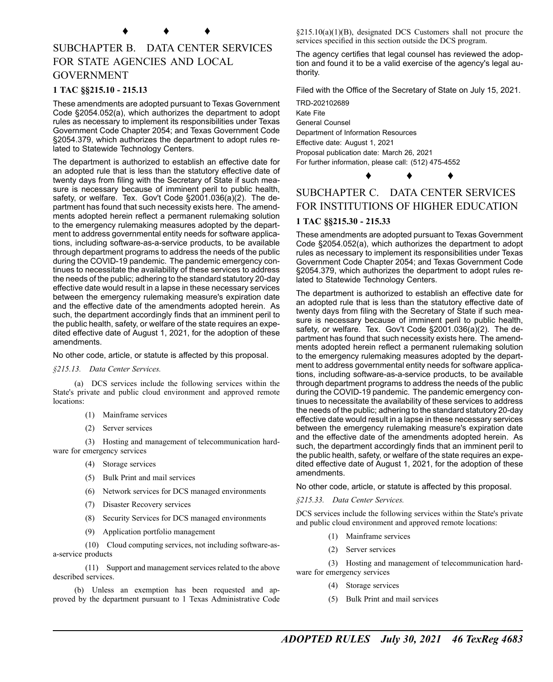# SUBCHAPTER B. DATA CENTER SERVICES FOR STATE AGENCIES AND LOCAL GOVERNMENT

### **1 TAC §§215.10 - 215.13**

These amendments are adopted pursuant to Texas Government Code §2054.052(a), which authorizes the department to adopt rules as necessary to implement its responsibilities under Texas Government Code Chapter 2054; and Texas Government Code §2054.379, which authorizes the department to adopt rules related to Statewide Technology Centers.

The department is authorized to establish an effective date for an adopted rule that is less than the statutory effective date of twenty days from filing with the Secretary of State if such measure is necessary because of imminent peril to public health, safety, or welfare. Tex. Gov't Code §2001.036(a)(2). The department has found that such necessity exists here. The amendments adopted herein reflect a permanent rulemaking solution to the emergency rulemaking measures adopted by the department to address governmental entity needs for software applications, including software-as-a-service products, to be available through department programs to address the needs of the public during the COVID-19 pandemic. The pandemic emergency continues to necessitate the availability of these services to address the needs of the public; adhering to the standard statutory 20-day effective date would result in a lapse in these necessary services between the emergency rulemaking measure's expiration date and the effective date of the amendments adopted herein. As such, the department accordingly finds that an imminent peril to the public health, safety, or welfare of the state requires an expedited effective date of August 1, 2021, for the adoption of these amendments.

No other code, article, or statute is affected by this proposal.

#### *§215.13. Data Center Services.*

(a) DCS services include the following services within the State's private and public cloud environment and approved remote locations:

- (1) Mainframe services
- (2) Server services

(3) Hosting and management of telecommunication hardware for emergency services

- (4) Storage services
- (5) Bulk Print and mail services
- (6) Network services for DCS managed environments
- (7) Disaster Recovery services
- (8) Security Services for DCS managed environments
- (9) Application portfolio management

(10) Cloud computing services, not including software-asa-service products

(11) Support and management services related to the above described services.

(b) Unless an exemption has been requested and approved by the department pursuant to 1 Texas Administrative Code

§215.10(a)(1)(B), designated DCS Customers shall not procure the services specified in this section outside the DCS program.

The agency certifies that legal counsel has reviewed the adoption and found it to be a valid exercise of the agency's legal authority.

Filed with the Office of the Secretary of State on July 15, 2021.

TRD-202102689 Kate Fite General Counsel Department of Information Resources Effective date: August 1, 2021 Proposal publication date: March 26, 2021 For further information, please call: (512) 475-4552

♦ ♦ ♦

# SUBCHAPTER C. DATA CENTER SERVICES FOR INSTITUTIONS OF HIGHER EDUCATION

### **1 TAC §§215.30 - 215.33**

These amendments are adopted pursuant to Texas Government Code §2054.052(a), which authorizes the department to adopt rules as necessary to implement its responsibilities under Texas Government Code Chapter 2054; and Texas Government Code §2054.379, which authorizes the department to adopt rules related to Statewide Technology Centers.

The department is authorized to establish an effective date for an adopted rule that is less than the statutory effective date of twenty days from filing with the Secretary of State if such measure is necessary because of imminent peril to public health, safety, or welfare. Tex. Gov't Code §2001.036(a)(2). The department has found that such necessity exists here. The amendments adopted herein reflect a permanent rulemaking solution to the emergency rulemaking measures adopted by the department to address governmental entity needs for software applications, including software-as-a-service products, to be available through department programs to address the needs of the public during the COVID-19 pandemic. The pandemic emergency continues to necessitate the availability of these services to address the needs of the public; adhering to the standard statutory 20-day effective date would result in a lapse in these necessary services between the emergency rulemaking measure's expiration date and the effective date of the amendments adopted herein. As such, the department accordingly finds that an imminent peril to the public health, safety, or welfare of the state requires an expedited effective date of August 1, 2021, for the adoption of these amendments.

No other code, article, or statute is affected by this proposal.

*§215.33. Data Center Services.*

DCS services include the following services within the State's private and public cloud environment and approved remote locations:

- (1) Mainframe services
- (2) Server services

(3) Hosting and management of telecommunication hardware for emergency services

- (4) Storage services
- (5) Bulk Print and mail services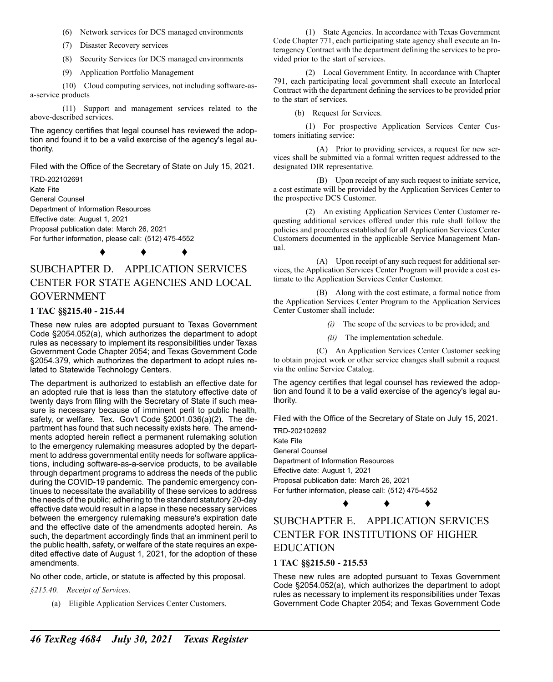- (6) Network services for DCS managed environments
- (7) Disaster Recovery services
- (8) Security Services for DCS managed environments
- (9) Application Portfolio Management

(10) Cloud computing services, not including software-asa-service products

(11) Support and management services related to the above-described services.

The agency certifies that legal counsel has reviewed the adoption and found it to be a valid exercise of the agency's legal authority.

Filed with the Office of the Secretary of State on July 15, 2021.

TRD-202102691 Kate Fite General Counsel Department of Information Resources Effective date: August 1, 2021 Proposal publication date: March 26, 2021 For further information, please call: (512) 475-4552

♦ ♦ ♦

# SUBCHAPTER D. APPLICATION SERVICES CENTER FOR STATE AGENCIES AND LOCAL GOVERNMENT

### **1 TAC §§215.40 - 215.44**

These new rules are adopted pursuant to Texas Government Code §2054.052(a), which authorizes the department to adopt rules as necessary to implement its responsibilities under Texas Government Code Chapter 2054; and Texas Government Code §2054.379, which authorizes the department to adopt rules related to Statewide Technology Centers.

The department is authorized to establish an effective date for an adopted rule that is less than the statutory effective date of twenty days from filing with the Secretary of State if such measure is necessary because of imminent peril to public health, safety, or welfare. Tex. Gov't Code §2001.036(a)(2). The department has found that such necessity exists here. The amendments adopted herein reflect a permanent rulemaking solution to the emergency rulemaking measures adopted by the department to address governmental entity needs for software applications, including software-as-a-service products, to be available through department programs to address the needs of the public during the COVID-19 pandemic. The pandemic emergency continues to necessitate the availability of these services to address the needs of the public; adhering to the standard statutory 20-day effective date would result in a lapse in these necessary services between the emergency rulemaking measure's expiration date and the effective date of the amendments adopted herein. As such, the department accordingly finds that an imminent peril to the public health, safety, or welfare of the state requires an expedited effective date of August 1, 2021, for the adoption of these amendments.

No other code, article, or statute is affected by this proposal.

- *§215.40. Receipt of Services.*
	- (a) Eligible Application Services Center Customers.

(1) State Agencies. In accordance with Texas Government Code Chapter 771, each participating state agency shall execute an Interagency Contract with the department defining the services to be provided prior to the start of services.

(2) Local Government Entity. In accordance with Chapter 791, each participating local government shall execute an Interlocal Contract with the department defining the services to be provided prior to the start of services.

(b) Request for Services.

(1) For prospective Application Services Center Customers initiating service:

(A) Prior to providing services, a request for new services shall be submitted via a formal written request addressed to the designated DIR representative.

(B) Upon receipt of any such request to initiate service, a cost estimate will be provided by the Application Services Center to the prospective DCS Customer.

(2) An existing Application Services Center Customer requesting additional services offered under this rule shall follow the policies and procedures established for all Application Services Center Customers documented in the applicable Service Management Manual.

(A) Upon receipt of any such request for additional services, the Application Services Center Program will provide a cost estimate to the Application Services Center Customer.

(B) Along with the cost estimate, a formal notice from the Application Services Center Program to the Application Services Center Customer shall include:

*(i)* The scope of the services to be provided; and

*(ii)* The implementation schedule.

(C) An Application Services Center Customer seeking to obtain project work or other service changes shall submit a request via the online Service Catalog.

The agency certifies that legal counsel has reviewed the adoption and found it to be a valid exercise of the agency's legal authority.

Filed with the Office of the Secretary of State on July 15, 2021.

TRD-202102692 Kate Fite General Counsel Department of Information Resources Effective date: August 1, 2021 Proposal publication date: March 26, 2021 For further information, please call: (512) 475-4552

♦ ♦ ♦

# SUBCHAPTER E. APPLICATION SERVICES CENTER FOR INSTITUTIONS OF HIGHER EDUCATION

#### **1 TAC §§215.50 - 215.53**

These new rules are adopted pursuant to Texas Government Code §2054.052(a), which authorizes the department to adopt rules as necessary to implement its responsibilities under Texas Government Code Chapter 2054; and Texas Government Code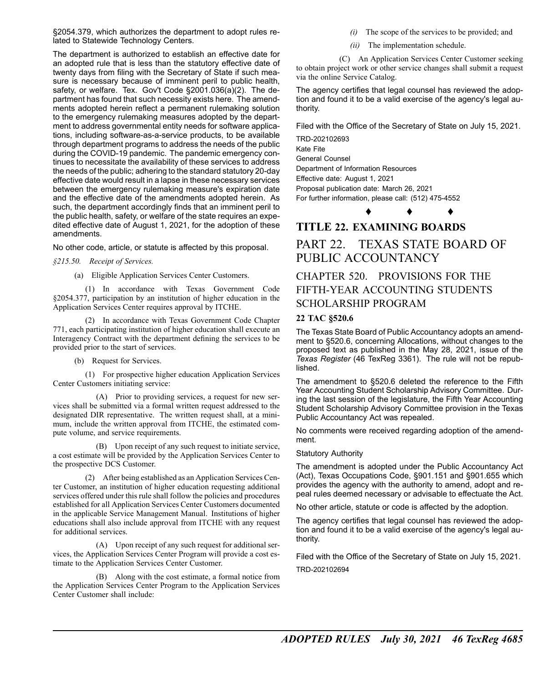§2054.379, which authorizes the department to adopt rules related to Statewide Technology Centers.

The department is authorized to establish an effective date for an adopted rule that is less than the statutory effective date of twenty days from filing with the Secretary of State if such measure is necessary because of imminent peril to public health, safety, or welfare. Tex. Gov't Code §2001.036(a)(2). The department has found that such necessity exists here. The amendments adopted herein reflect a permanent rulemaking solution to the emergency rulemaking measures adopted by the department to address governmental entity needs for software applications, including software-as-a-service products, to be available through department programs to address the needs of the public during the COVID-19 pandemic. The pandemic emergency continues to necessitate the availability of these services to address the needs of the public; adhering to the standard statutory 20-day effective date would result in a lapse in these necessary services between the emergency rulemaking measure's expiration date and the effective date of the amendments adopted herein. As such, the department accordingly finds that an imminent peril to the public health, safety, or welfare of the state requires an expedited effective date of August 1, 2021, for the adoption of these amendments.

No other code, article, or statute is affected by this proposal.

#### *§215.50. Receipt of Services.*

(a) Eligible Application Services Center Customers.

(1) In accordance with Texas Government Code §2054.377, participation by an institution of higher education in the Application Services Center requires approval by ITCHE.

(2) In accordance with Texas Government Code Chapter 771, each participating institution of higher education shall execute an Interagency Contract with the department defining the services to be provided prior to the start of services.

(b) Request for Services.

(1) For prospective higher education Application Services Center Customers initiating service:

(A) Prior to providing services, a request for new services shall be submitted via a formal written request addressed to the designated DIR representative. The written request shall, at a minimum, include the written approval from ITCHE, the estimated compute volume, and service requirements.

(B) Upon receipt of any such request to initiate service, a cost estimate will be provided by the Application Services Center to the prospective DCS Customer.

(2) After being established as an Application Services Center Customer, an institution of higher education requesting additional services offered under this rule shall follow the policies and procedures established for all Application Services Center Customers documented in the applicable Service Management Manual. Institutions of higher educations shall also include approval from ITCHE with any request for additional services.

(A) Upon receipt of any such request for additional services, the Application Services Center Program will provide a cost estimate to the Application Services Center Customer.

(B) Along with the cost estimate, a formal notice from the Application Services Center Program to the Application Services Center Customer shall include:

*(i)* The scope of the services to be provided; and

*(ii)* The implementation schedule.

(C) An Application Services Center Customer seeking to obtain project work or other service changes shall submit a request via the online Service Catalog.

The agency certifies that legal counsel has reviewed the adoption and found it to be a valid exercise of the agency's legal authority.

Filed with the Office of the Secretary of State on July 15, 2021.

TRD-202102693 Kate Fite General Counsel Department of Information Resources Effective date: August 1, 2021

Proposal publication date: March 26, 2021 For further information, please call: (512) 475-4552

♦ ♦ ♦

# **TITLE 22. EXAMINING BOARDS**

# PART 22. TEXAS STATE BOARD OF PUBLIC ACCOUNTANCY

CHAPTER 520. PROVISIONS FOR THE FIFTH-YEAR ACCOUNTING STUDENTS SCHOLARSHIP PROGRAM

### **22 TAC §520.6**

The Texas State Board of Public Accountancy adopts an amendment to §520.6, concerning Allocations, without changes to the proposed text as published in the May 28, 2021, issue of the *Texas Register* (46 TexReg 3361). The rule will not be republished.

The amendment to §520.6 deleted the reference to the Fifth Year Accounting Student Scholarship Advisory Committee. During the last session of the legislature, the Fifth Year Accounting Student Scholarship Advisory Committee provision in the Texas Public Accountancy Act was repealed.

No comments were received regarding adoption of the amendment.

#### Statutory Authority

The amendment is adopted under the Public Accountancy Act (Act), Texas Occupations Code, §901.151 and §901.655 which provides the agency with the authority to amend, adopt and repeal rules deemed necessary or advisable to effectuate the Act.

No other article, statute or code is affected by the adoption.

The agency certifies that legal counsel has reviewed the adoption and found it to be a valid exercise of the agency's legal authority.

Filed with the Office of the Secretary of State on July 15, 2021. TRD-202102694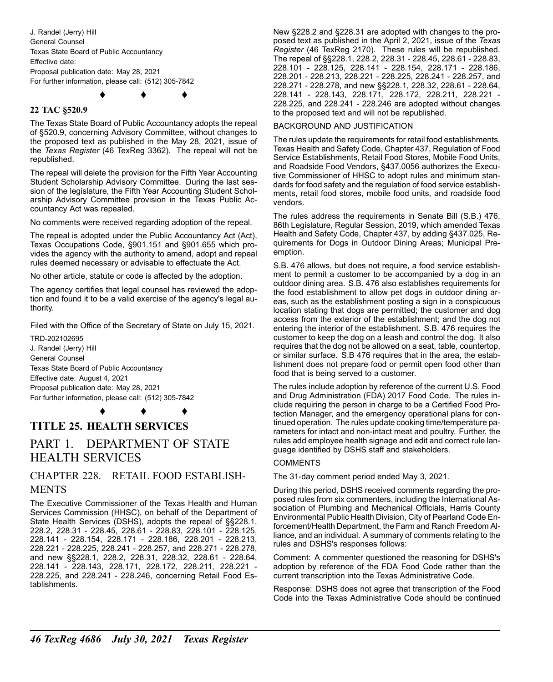J. Randel (Jerry) Hill General Counsel Texas State Board of Public Accountancy Effective date: Proposal publication date: May 28, 2021 For further information, please call: (512) 305-7842

♦ ♦ ♦

#### **22 TAC §520.9**

The Texas State Board of Public Accountancy adopts the repeal of §520.9, concerning Advisory Committee, without changes to the proposed text as published in the May 28, 2021, issue of the *Texas Register* (46 TexReg 3362). The repeal will not be republished.

The repeal will delete the provision for the Fifth Year Accounting Student Scholarship Advisory Committee. During the last session of the legislature, the Fifth Year Accounting Student Scholarship Advisory Committee provision in the Texas Public Accountancy Act was repealed.

No comments were received regarding adoption of the repeal.

The repeal is adopted under the Public Accountancy Act (Act), Texas Occupations Code, §901.151 and §901.655 which provides the agency with the authority to amend, adopt and repeal rules deemed necessary or advisable to effectuate the Act.

No other article, statute or code is affected by the adoption.

The agency certifies that legal counsel has reviewed the adoption and found it to be a valid exercise of the agency's legal authority.

Filed with the Office of the Secretary of State on July 15, 2021.

TRD-202102695 J. Randel (Jerry) Hill General Counsel Texas State Board of Public Accountancy Effective date: August 4, 2021 Proposal publication date: May 28, 2021 For further information, please call: (512) 305-7842

♦ ♦ ♦

### **TITLE 25. HEALTH SERVICES**

# PART 1. DEPARTMENT OF STATE HEALTH SERVICES

### CHAPTER 228. RETAIL FOOD ESTABLISH-MENTS

The Executive Commissioner of the Texas Health and Human Services Commission (HHSC), on behalf of the Department of State Health Services (DSHS), adopts the repeal of §§228.1, 228.2, 228.31 - 228.45, 228.61 - 228.83, 228.101 - 228.125, 228.141 - 228.154, 228.171 - 228.186, 228.201 - 228.213, 228.221 - 228.225, 228.241 - 228.257, and 228.271 - 228.278, and new §§228.1, 228.2, 228.31, 228.32, 228.61 - 228.64, 228.141 - 228.143, 228.171, 228.172, 228.211, 228.221 - 228.225, and 228.241 - 228.246, concerning Retail Food Establishments.

New §228.2 and §228.31 are adopted with changes to the proposed text as published in the April 2, 2021, issue of the *Texas Register* (46 TexReg 2170). These rules will be republished. The repeal of §§228.1, 228.2, 228.31 - 228.45, 228.61 - 228.83, 228.101 - 228.125, 228.141 - 228.154, 228.171 - 228.186, 228.201 - 228.213, 228.221 - 228.225, 228.241 - 228.257, and 228.271 - 228.278, and new §§228.1, 228.32, 228.61 - 228.64, 228.141 - 228.143, 228.171, 228.172, 228.211, 228.221 - 228.225, and 228.241 - 228.246 are adopted without changes to the proposed text and will not be republished.

#### BACKGROUND AND JUSTIFICATION

The rules update the requirements for retail food establishments. Texas Health and Safety Code, Chapter 437, Regulation of Food Service Establishments, Retail Food Stores, Mobile Food Units, and Roadside Food Vendors, §437.0056 authorizes the Executive Commissioner of HHSC to adopt rules and minimum standards for food safety and the regulation of food service establishments, retail food stores, mobile food units, and roadside food vendors.

The rules address the requirements in Senate Bill (S.B.) 476, 86th Legislature, Regular Session, 2019, which amended Texas Health and Safety Code, Chapter 437, by adding §437.025, Requirements for Dogs in Outdoor Dining Areas; Municipal Preemption.

S.B. 476 allows, but does not require, a food service establishment to permit a customer to be accompanied by a dog in an outdoor dining area. S.B. 476 also establishes requirements for the food establishment to allow pet dogs in outdoor dining areas, such as the establishment posting a sign in a conspicuous location stating that dogs are permitted; the customer and dog access from the exterior of the establishment; and the dog not entering the interior of the establishment. S.B. 476 requires the customer to keep the dog on a leash and control the dog. It also requires that the dog not be allowed on a seat, table, countertop, or similar surface. S.B 476 requires that in the area, the establishment does not prepare food or permit open food other than food that is being served to a customer.

The rules include adoption by reference of the current U.S. Food and Drug Administration (FDA) 2017 Food Code. The rules include requiring the person in charge to be a Certified Food Protection Manager, and the emergency operational plans for continued operation. The rules update cooking time/temperature parameters for intact and non-intact meat and poultry. Further, the rules add employee health signage and edit and correct rule language identified by DSHS staff and stakeholders.

#### COMMENTS

The 31-day comment period ended May 3, 2021.

During this period, DSHS received comments regarding the proposed rules from six commenters, including the International Association of Plumbing and Mechanical Officials, Harris County Environmental Public Health Division, City of Pearland Code Enforcement/Health Department, the Farm and Ranch Freedom Alliance, and an individual. A summary of comments relating to the rules and DSHS's responses follows:

Comment: A commenter questioned the reasoning for DSHS's adoption by reference of the FDA Food Code rather than the current transcription into the Texas Administrative Code.

Response: DSHS does not agree that transcription of the Food Code into the Texas Administrative Code should be continued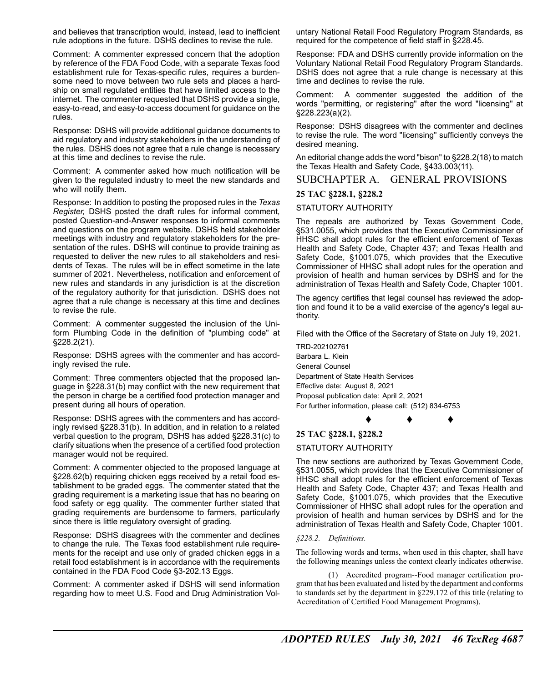and believes that transcription would, instead, lead to inefficient rule adoptions in the future. DSHS declines to revise the rule.

Comment: A commenter expressed concern that the adoption by reference of the FDA Food Code, with a separate Texas food establishment rule for Texas-specific rules, requires a burdensome need to move between two rule sets and places a hardship on small regulated entities that have limited access to the internet. The commenter requested that DSHS provide a single, easy-to-read, and easy-to-access document for guidance on the rules.

Response: DSHS will provide additional guidance documents to aid regulatory and industry stakeholders in the understanding of the rules. DSHS does not agree that a rule change is necessary at this time and declines to revise the rule.

Comment: A commenter asked how much notification will be given to the regulated industry to meet the new standards and who will notify them.

Response: In addition to posting the proposed rules in the *Texas Register,* DSHS posted the draft rules for informal comment, posted Question-and-Answer responses to informal comments and questions on the program website. DSHS held stakeholder meetings with industry and regulatory stakeholders for the presentation of the rules. DSHS will continue to provide training as requested to deliver the new rules to all stakeholders and residents of Texas. The rules will be in effect sometime in the late summer of 2021. Nevertheless, notification and enforcement of new rules and standards in any jurisdiction is at the discretion of the regulatory authority for that jurisdiction. DSHS does not agree that a rule change is necessary at this time and declines to revise the rule.

Comment: A commenter suggested the inclusion of the Uniform Plumbing Code in the definition of "plumbing code" at §228.2(21).

Response: DSHS agrees with the commenter and has accordingly revised the rule.

Comment: Three commenters objected that the proposed language in §228.31(b) may conflict with the new requirement that the person in charge be a certified food protection manager and present during all hours of operation.

Response: DSHS agrees with the commenters and has accordingly revised §228.31(b). In addition, and in relation to a related verbal question to the program, DSHS has added §228.31(c) to clarify situations when the presence of a certified food protection manager would not be required.

Comment: A commenter objected to the proposed language at §228.62(b) requiring chicken eggs received by a retail food establishment to be graded eggs. The commenter stated that the grading requirement is a marketing issue that has no bearing on food safety or egg quality. The commenter further stated that grading requirements are burdensome to farmers, particularly since there is little regulatory oversight of grading.

Response: DSHS disagrees with the commenter and declines to change the rule. The Texas food establishment rule requirements for the receipt and use only of graded chicken eggs in a retail food establishment is in accordance with the requirements contained in the FDA Food Code [§3-202.13](https://3-202.13) Eggs.

Comment: A commenter asked if DSHS will send information regarding how to meet U.S. Food and Drug Administration Voluntary National Retail Food Regulatory Program Standards, as required for the competence of field staff in §228.45.

Response: FDA and DSHS currently provide information on the Voluntary National Retail Food Regulatory Program Standards. DSHS does not agree that a rule change is necessary at this time and declines to revise the rule.

Comment: A commenter suggested the addition of the words "permitting, or registering" after the word "licensing" at §228.223(a)(2).

Response: DSHS disagrees with the commenter and declines to revise the rule. The word "licensing" sufficiently conveys the desired meaning.

An editorial change adds the word "bison" to §228.2(18) to match the Texas Health and Safety Code, §433.003(11).

SUBCHAPTER A. GENERAL PROVISIONS

### **25 TAC §228.1, §228.2**

### STATUTORY AUTHORITY

The repeals are authorized by Texas Government Code, §531.0055, which provides that the Executive Commissioner of HHSC shall adopt rules for the efficient enforcement of Texas Health and Safety Code, Chapter 437; and Texas Health and Safety Code, §1001.075, which provides that the Executive Commissioner of HHSC shall adopt rules for the operation and provision of health and human services by DSHS and for the administration of Texas Health and Safety Code, Chapter 1001.

The agency certifies that legal counsel has reviewed the adoption and found it to be a valid exercise of the agency's legal authority.

Filed with the Office of the Secretary of State on July 19, 2021.

TRD-202102761 Barbara L. Klein General Counsel Department of State Health Services Effective date: August 8, 2021 Proposal publication date: April 2, 2021 For further information, please call: (512) 834-6753



### **25 TAC §228.1, §228.2**

### STATUTORY AUTHORITY

The new sections are authorized by Texas Government Code, §531.0055, which provides that the Executive Commissioner of HHSC shall adopt rules for the efficient enforcement of Texas Health and Safety Code, Chapter 437; and Texas Health and Safety Code, §1001.075, which provides that the Executive Commissioner of HHSC shall adopt rules for the operation and provision of health and human services by DSHS and for the administration of Texas Health and Safety Code, Chapter 1001.

#### *§228.2. Definitions.*

The following words and terms, when used in this chapter, shall have the following meanings unless the context clearly indicates otherwise.

(1) Accredited program--Food manager certification program that has been evaluated and listed by the department and conforms to standards set by the department in §229.172 of this title (relating to Accreditation of Certified Food Management Programs).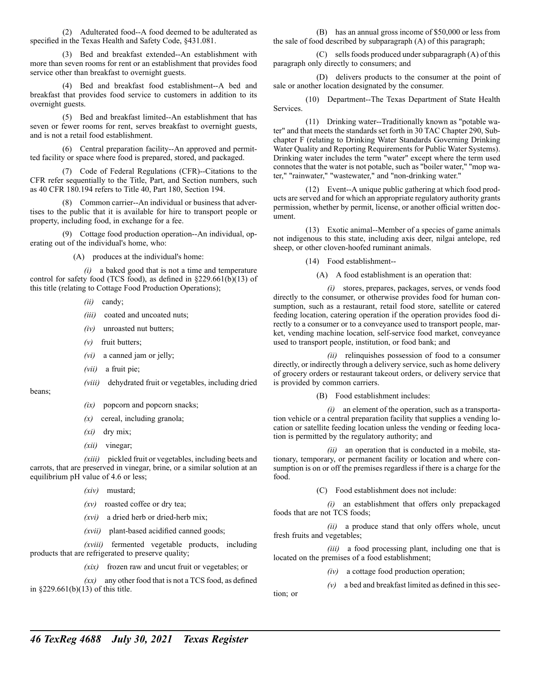(2) Adulterated food--A food deemed to be adulterated as specified in the Texas Health and Safety Code, §431.081.

(3) Bed and breakfast extended--An establishment with more than seven rooms for rent or an establishment that provides food service other than breakfast to overnight guests.

(4) Bed and breakfast food establishment--A bed and breakfast that provides food service to customers in addition to its overnight guests.

(5) Bed and breakfast limited--An establishment that has seven or fewer rooms for rent, serves breakfast to overnight guests, and is not a retail food establishment.

(6) Central preparation facility--An approved and permitted facility or space where food is prepared, stored, and packaged.

(7) Code of Federal Regulations (CFR)--Citations to the CFR refer sequentially to the Title, Part, and Section numbers, such as 40 CFR 180.194 refers to Title 40, Part 180, Section 194.

(8) Common carrier--An individual or business that advertises to the public that it is available for hire to transport people or property, including food, in exchange for a fee.

(9) Cottage food production operation--An individual, operating out of the individual's home, who:

(A) produces at the individual's home:

*(i)* a baked good that is not a time and temperature control for safety food (TCS food), as defined in  $\S 229.661(b)(13)$  of this title (relating to Cottage Food Production Operations);

- *(ii)* candy;
- *(iii)* coated and uncoated nuts;
- *(iv)* unroasted nut butters;
- *(v)* fruit butters;
- *(vi)* a canned jam or jelly;
- *(vii)* a fruit pie;
- *(viii)* dehydrated fruit or vegetables, including dried
- beans;
- *(ix)* popcorn and popcorn snacks;
- *(x)* cereal, including granola;
- *(xi)* dry mix;
- *(xii)* vinegar;

*(xiii)* pickled fruit or vegetables, including beets and carrots, that are preserved in vinegar, brine, or a similar solution at an equilibrium pH value of 4.6 or less;

- *(xiv)* mustard;
- *(xv)* roasted coffee or dry tea;
- *(xvi)* a dried herb or dried-herb mix;
- *(xvii)* plant-based acidified canned goods;

*(xviii)* fermented vegetable products, including products that are refrigerated to preserve quality;

*(xix)* frozen raw and uncut fruit or vegetables; or

*(xx)* any other food that is not a TCS food, as defined in §229.661(b)(13) of this title.

(B) has an annual gross income of \$50,000 or less from the sale of food described by subparagraph (A) of this paragraph;

 $(C)$  sells foods produced under subparagraph  $(A)$  of this paragraph only directly to consumers; and

(D) delivers products to the consumer at the point of sale or another location designated by the consumer.

(10) Department--The Texas Department of State Health Services.

(11) Drinking water--Traditionally known as "potable water" and that meets the standards set forth in 30 TAC Chapter 290, Subchapter F (relating to Drinking Water Standards Governing Drinking Water Quality and Reporting Requirements for Public Water Systems). Drinking water includes the term "water" except where the term used connotes that the water is not potable, such as "boiler water," "mop water," "rainwater," "wastewater," and "non-drinking water."

(12) Event--A unique public gathering at which food products are served and for which an appropriate regulatory authority grants permission, whether by permit, license, or another official written document.

(13) Exotic animal--Member of a species of game animals not indigenous to this state, including axis deer, nilgai antelope, red sheep, or other cloven-hoofed ruminant animals.

(14) Food establishment--

(A) A food establishment is an operation that:

*(i)* stores, prepares, packages, serves, or vends food directly to the consumer, or otherwise provides food for human consumption, such as a restaurant, retail food store, satellite or catered feeding location, catering operation if the operation provides food directly to a consumer or to a conveyance used to transport people, market, vending machine location, self-service food market, conveyance used to transport people, institution, or food bank; and

*(ii)* relinquishes possession of food to a consumer directly, or indirectly through a delivery service, such as home delivery of grocery orders or restaurant takeout orders, or delivery service that is provided by common carriers.

(B) Food establishment includes:

*(i)* an element of the operation, such as a transportation vehicle or a central preparation facility that supplies a vending location or satellite feeding location unless the vending or feeding location is permitted by the regulatory authority; and

*(ii)* an operation that is conducted in a mobile, stationary, temporary, or permanent facility or location and where consumption is on or off the premises regardless if there is a charge for the food.

(C) Food establishment does not include:

*(i)* an establishment that offers only prepackaged foods that are not TCS foods;

*(ii)* a produce stand that only offers whole, uncut fresh fruits and vegetables;

*(iii)* a food processing plant, including one that is located on the premises of a food establishment;

*(iv)* a cottage food production operation;

*(v)* a bed and breakfast limited as defined in this sec-

tion; or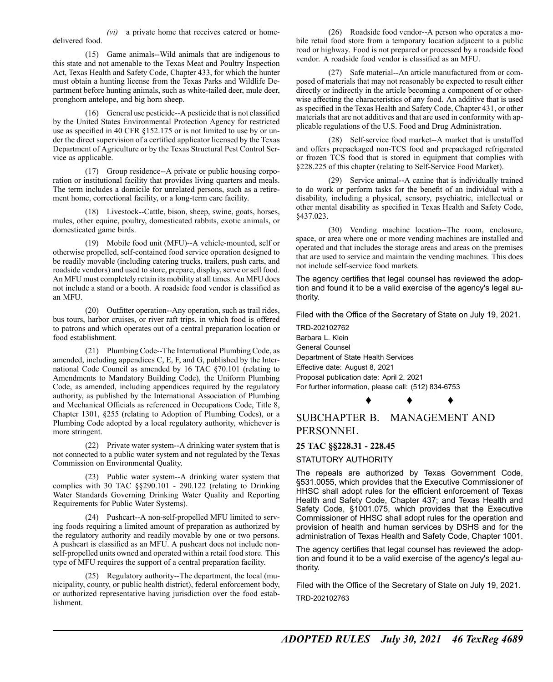*(vi)* a private home that receives catered or homedelivered food.

(15) Game animals--Wild animals that are indigenous to this state and not amenable to the Texas Meat and Poultry Inspection Act, Texas Health and Safety Code, Chapter 433, for which the hunter must obtain a hunting license from the Texas Parks and Wildlife Department before hunting animals, such as white-tailed deer, mule deer, pronghorn antelope, and big horn sheep.

(16) General use pesticide--A pesticide that is not classified by the United States Environmental Protection Agency for restricted use as specified in 40 CFR §152.175 or is not limited to use by or under the direct supervision of a certified applicator licensed by the Texas Department of Agriculture or by the Texas Structural Pest Control Service as applicable.

(17) Group residence--A private or public housing corporation or institutional facility that provides living quarters and meals. The term includes a domicile for unrelated persons, such as a retirement home, correctional facility, or a long-term care facility.

(18) Livestock--Cattle, bison, sheep, swine, goats, horses, mules, other equine, poultry, domesticated rabbits, exotic animals, or domesticated game birds.

(19) Mobile food unit (MFU)--A vehicle-mounted, self or otherwise propelled, self-contained food service operation designed to be readily movable (including catering trucks, trailers, push carts, and roadside vendors) and used to store, prepare, display, serve orsell food. An MFU must completely retain its mobility at all times. An MFU does not include a stand or a booth. A roadside food vendor is classified as an MFU.

(20) Outfitter operation--Any operation, such as trail rides, bus tours, harbor cruises, or river raft trips, in which food is offered to patrons and which operates out of a central preparation location or food establishment.

(21) Plumbing Code--The International Plumbing Code, as amended, including appendices C, E, F, and G, published by the International Code Council as amended by 16 TAC §70.101 (relating to Amendments to Mandatory Building Code), the Uniform Plumbing Code, as amended, including appendices required by the regulatory authority, as published by the International Association of Plumbing and Mechanical Officials as referenced in Occupations Code, Title 8, Chapter 1301, §255 (relating to Adoption of Plumbing Codes), or a Plumbing Code adopted by a local regulatory authority, whichever is more stringent.

(22) Private water system--A drinking water system that is not connected to a public water system and not regulated by the Texas Commission on Environmental Quality.

(23) Public water system--A drinking water system that complies with 30 TAC §§290.101 - 290.122 (relating to Drinking Water Standards Governing Drinking Water Quality and Reporting Requirements for Public Water Systems).

(24) Pushcart--A non-self-propelled MFU limited to serving foods requiring a limited amount of preparation as authorized by the regulatory authority and readily movable by one or two persons. A pushcart is classified as an MFU. A pushcart does not include nonself-propelled units owned and operated within a retail food store. This type of MFU requires the support of a central preparation facility.

(25) Regulatory authority--The department, the local (municipality, county, or public health district), federal enforcement body, or authorized representative having jurisdiction over the food establishment.

(26) Roadside food vendor--A person who operates a mobile retail food store from a temporary location adjacent to a public road or highway. Food is not prepared or processed by a roadside food vendor. A roadside food vendor is classified as an MFU.

(27) Safe material--An article manufactured from or composed of materials that may not reasonably be expected to result either directly or indirectly in the article becoming a component of or otherwise affecting the characteristics of any food. An additive that is used as specified in the Texas Health and Safety Code, Chapter 431, or other materials that are not additives and that are used in conformity with applicable regulations of the U.S. Food and Drug Administration.

(28) Self-service food market--A market that is unstaffed and offers prepackaged non-TCS food and prepackaged refrigerated or frozen TCS food that is stored in equipment that complies with §228.225 of this chapter (relating to Self-Service Food Market).

(29) Service animal--A canine that is individually trained to do work or perform tasks for the benefit of an individual with a disability, including a physical, sensory, psychiatric, intellectual or other mental disability as specified in Texas Health and Safety Code, §437.023.

(30) Vending machine location--The room, enclosure, space, or area where one or more vending machines are installed and operated and that includes the storage areas and areas on the premises that are used to service and maintain the vending machines. This does not include self-service food markets.

The agency certifies that legal counsel has reviewed the adoption and found it to be a valid exercise of the agency's legal authority.

Filed with the Office of the Secretary of State on July 19, 2021.

TRD-202102762 Barbara L. Klein General Counsel Department of State Health Services Effective date: August 8, 2021 Proposal publication date: April 2, 2021 For further information, please call: (512) 834-6753

♦ ♦ ♦

SUBCHAPTER B. MANAGEMENT AND PERSONNEL

### **25 TAC §§228.31 - 228.45**

STATUTORY AUTHORITY

The repeals are authorized by Texas Government Code, §531.0055, which provides that the Executive Commissioner of HHSC shall adopt rules for the efficient enforcement of Texas Health and Safety Code, Chapter 437; and Texas Health and Safety Code, §1001.075, which provides that the Executive Commissioner of HHSC shall adopt rules for the operation and provision of health and human services by DSHS and for the administration of Texas Health and Safety Code, Chapter 1001.

The agency certifies that legal counsel has reviewed the adoption and found it to be a valid exercise of the agency's legal authority.

Filed with the Office of the Secretary of State on July 19, 2021. TRD-202102763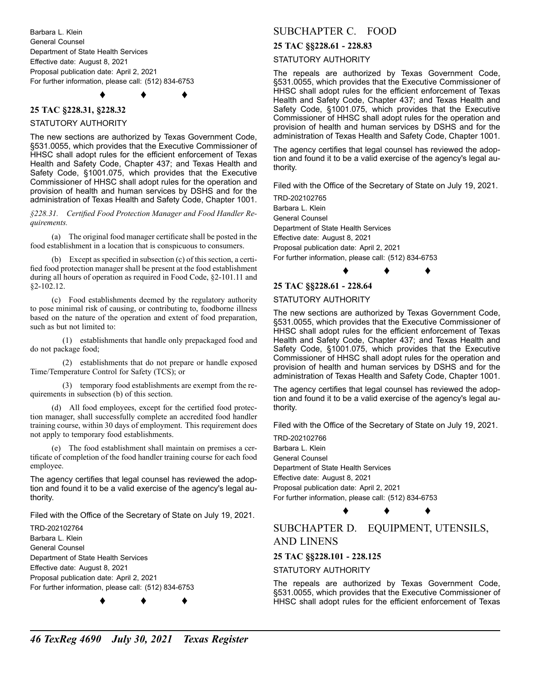Barbara L. Klein General Counsel Department of State Health Services Effective date: August 8, 2021 Proposal publication date: April 2, 2021 For further information, please call: (512) 834-6753

♦ ♦ ♦

#### **25 TAC §228.31, §228.32**

#### STATUTORY AUTHORITY

The new sections are authorized by Texas Government Code, §531.0055, which provides that the Executive Commissioner of HHSC shall adopt rules for the efficient enforcement of Texas Health and Safety Code, Chapter 437; and Texas Health and Safety Code, §1001.075, which provides that the Executive Commissioner of HHSC shall adopt rules for the operation and provision of health and human services by DSHS and for the administration of Texas Health and Safety Code, Chapter 1001.

*§228.31. Certified Food Protection Manager and Food Handler Requirements.*

(a) The original food manager certificate shall be posted in the food establishment in a location that is conspicuous to consumers.

(b) Except as specified in subsection (c) of this section, a certified food protection manager shall be present at the food establishment during all hours of operation as required in Food Code, §[2-101.11](https://2-101.11) and §[2-102.12](https://2-102.12).

(c) Food establishments deemed by the regulatory authority to pose minimal risk of causing, or contributing to, foodborne illness based on the nature of the operation and extent of food preparation, such as but not limited to:

(1) establishments that handle only prepackaged food and do not package food;

(2) establishments that do not prepare or handle exposed Time/Temperature Control for Safety (TCS); or

(3) temporary food establishments are exempt from the requirements in subsection (b) of this section.

(d) All food employees, except for the certified food protection manager, shall successfully complete an accredited food handler training course, within 30 days of employment. This requirement does not apply to temporary food establishments.

(e) The food establishment shall maintain on premises a certificate of completion of the food handler training course for each food employee.

The agency certifies that legal counsel has reviewed the adoption and found it to be a valid exercise of the agency's legal authority.

Filed with the Office of the Secretary of State on July 19, 2021.

TRD-202102764 Barbara L. Klein General Counsel Department of State Health Services Effective date: August 8, 2021 Proposal publication date: April 2, 2021 For further information, please call: (512) 834-6753

♦ ♦ ♦

### SUBCHAPTER C. FOOD

### **25 TAC §§228.61 - 228.83** STATUTORY AUTHORITY

The repeals are authorized by Texas Government Code, §531.0055, which provides that the Executive Commissioner of HHSC shall adopt rules for the efficient enforcement of Texas Health and Safety Code, Chapter 437; and Texas Health and Safety Code, §1001.075, which provides that the Executive Commissioner of HHSC shall adopt rules for the operation and provision of health and human services by DSHS and for the administration of Texas Health and Safety Code, Chapter 1001.

The agency certifies that legal counsel has reviewed the adoption and found it to be a valid exercise of the agency's legal authority.

Filed with the Office of the Secretary of State on July 19, 2021.

TRD-202102765 Barbara L. Klein General Counsel Department of State Health Services Effective date: August 8, 2021 Proposal publication date: April 2, 2021 For further information, please call: (512) 834-6753

♦ ♦ ♦

### **25 TAC §§228.61 - 228.64** STATUTORY AUTHORITY

The new sections are authorized by Texas Government Code, §531.0055, which provides that the Executive Commissioner of HHSC shall adopt rules for the efficient enforcement of Texas Health and Safety Code, Chapter 437; and Texas Health and Safety Code, §1001.075, which provides that the Executive Commissioner of HHSC shall adopt rules for the operation and provision of health and human services by DSHS and for the administration of Texas Health and Safety Code, Chapter 1001.

The agency certifies that legal counsel has reviewed the adoption and found it to be a valid exercise of the agency's legal authority.

Filed with the Office of the Secretary of State on July 19, 2021.

TRD-202102766 Barbara L. Klein General Counsel Department of State Health Services Effective date: August 8, 2021 Proposal publication date: April 2, 2021 For further information, please call: (512) 834-6753



SUBCHAPTER D. EQUIPMENT, UTENSILS, AND LINENS

**25 TAC §§228.101 - 228.125**

STATUTORY AUTHORITY

The repeals are authorized by Texas Government Code, §531.0055, which provides that the Executive Commissioner of HHSC shall adopt rules for the efficient enforcement of Texas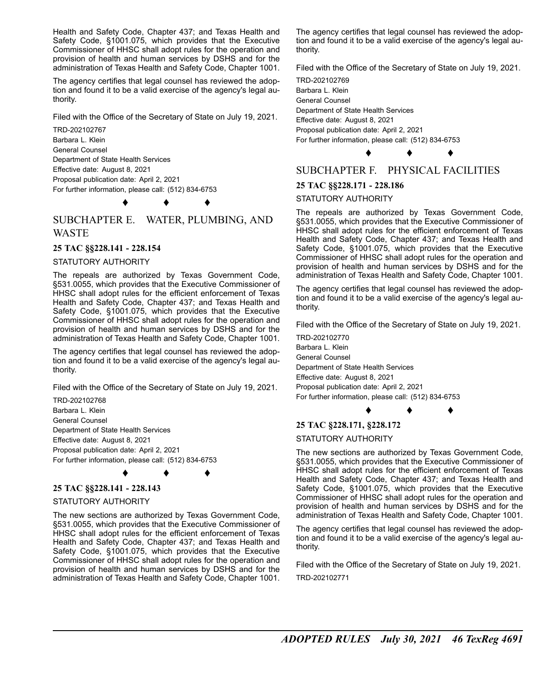Health and Safety Code, Chapter 437; and Texas Health and Safety Code, §1001.075, which provides that the Executive Commissioner of HHSC shall adopt rules for the operation and provision of health and human services by DSHS and for the administration of Texas Health and Safety Code, Chapter 1001.

The agency certifies that legal counsel has reviewed the adoption and found it to be a valid exercise of the agency's legal authority.

Filed with the Office of the Secretary of State on July 19, 2021.

TRD-202102767 Barbara L. Klein General Counsel Department of State Health Services Effective date: August 8, 2021 Proposal publication date: April 2, 2021 For further information, please call: (512) 834-6753

♦ ♦ ♦

### SUBCHAPTER E. WATER, PLUMBING, AND WASTE

#### **25 TAC §§228.141 - 228.154**

#### STATUTORY AUTHORITY

The repeals are authorized by Texas Government Code, §531.0055, which provides that the Executive Commissioner of HHSC shall adopt rules for the efficient enforcement of Texas Health and Safety Code, Chapter 437; and Texas Health and Safety Code, §1001.075, which provides that the Executive Commissioner of HHSC shall adopt rules for the operation and provision of health and human services by DSHS and for the administration of Texas Health and Safety Code, Chapter 1001.

The agency certifies that legal counsel has reviewed the adoption and found it to be a valid exercise of the agency's legal authority.

Filed with the Office of the Secretary of State on July 19, 2021.

TRD-202102768 Barbara L. Klein General Counsel Department of State Health Services Effective date: August 8, 2021 Proposal publication date: April 2, 2021 For further information, please call: (512) 834-6753

♦ ♦ ♦

#### **25 TAC §§228.141 - 228.143**

#### STATUTORY AUTHORITY

The new sections are authorized by Texas Government Code, §531.0055, which provides that the Executive Commissioner of HHSC shall adopt rules for the efficient enforcement of Texas Health and Safety Code, Chapter 437; and Texas Health and Safety Code, §1001.075, which provides that the Executive Commissioner of HHSC shall adopt rules for the operation and provision of health and human services by DSHS and for the administration of Texas Health and Safety Code, Chapter 1001.

The agency certifies that legal counsel has reviewed the adoption and found it to be a valid exercise of the agency's legal authority.

Filed with the Office of the Secretary of State on July 19, 2021.

TRD-202102769 Barbara L. Klein General Counsel Department of State Health Services Effective date: August 8, 2021 Proposal publication date: April 2, 2021 For further information, please call: (512) 834-6753

SUBCHAPTER F. PHYSICAL FACILITIES

♦ ♦ ♦

#### **25 TAC §§228.171 - 228.186**

#### STATUTORY AUTHORITY

The repeals are authorized by Texas Government Code, §531.0055, which provides that the Executive Commissioner of HHSC shall adopt rules for the efficient enforcement of Texas Health and Safety Code, Chapter 437; and Texas Health and Safety Code, §1001.075, which provides that the Executive Commissioner of HHSC shall adopt rules for the operation and provision of health and human services by DSHS and for the administration of Texas Health and Safety Code, Chapter 1001.

The agency certifies that legal counsel has reviewed the adoption and found it to be a valid exercise of the agency's legal authority.

Filed with the Office of the Secretary of State on July 19, 2021.

TRD-202102770 Barbara L. Klein General Counsel Department of State Health Services Effective date: August 8, 2021 Proposal publication date: April 2, 2021 For further information, please call: (512) 834-6753

♦ ♦ ♦

### **25 TAC §228.171, §228.172**

#### STATUTORY AUTHORITY

The new sections are authorized by Texas Government Code, §531.0055, which provides that the Executive Commissioner of HHSC shall adopt rules for the efficient enforcement of Texas Health and Safety Code, Chapter 437; and Texas Health and Safety Code, §1001.075, which provides that the Executive Commissioner of HHSC shall adopt rules for the operation and provision of health and human services by DSHS and for the administration of Texas Health and Safety Code, Chapter 1001.

The agency certifies that legal counsel has reviewed the adoption and found it to be a valid exercise of the agency's legal authority.

Filed with the Office of the Secretary of State on July 19, 2021. TRD-202102771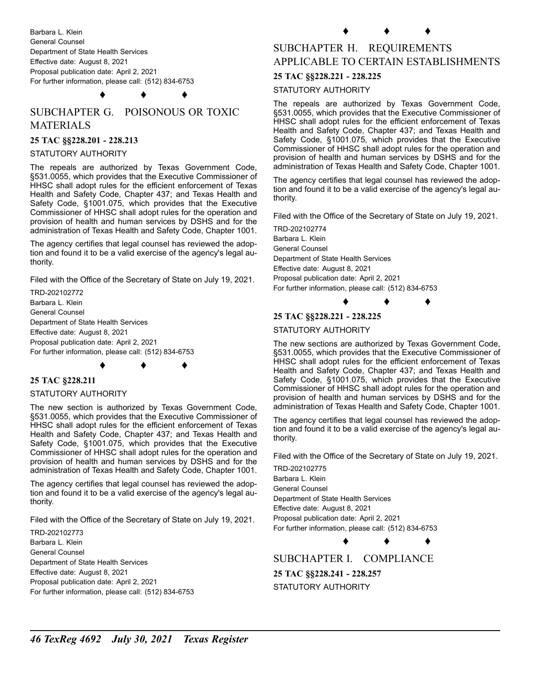Barbara L. Klein ♦ ♦ ♦ General Counsel Department of State Health Services Effective date: August 8, 2021 Proposal publication date: April 2, 2021 For further information, please call: (512) 834-6753

♦ ♦ ♦

## SUBCHAPTER G. POISONOUS OR TOXIC MATERIALS

#### **25 TAC §§228.201 - 228.213**

#### STATUTORY AUTHORITY

The repeals are authorized by Texas Government Code, §531.0055, which provides that the Executive Commissioner of HHSC shall adopt rules for the efficient enforcement of Texas Health and Safety Code, Chapter 437; and Texas Health and Safety Code, §1001.075, which provides that the Executive Commissioner of HHSC shall adopt rules for the operation and provision of health and human services by DSHS and for the administration of Texas Health and Safety Code, Chapter 1001.

The agency certifies that legal counsel has reviewed the adoption and found it to be a valid exercise of the agency's legal authority.

Filed with the Office of the Secretary of State on July 19, 2021.

TRD-202102772 Barbara L. Klein General Counsel Department of State Health Services Effective date: August 8, 2021 Proposal publication date: April 2, 2021 For further information, please call: (512) 834-6753

**25 TAC §228.211**

#### STATUTORY AUTHORITY

The new section is authorized by Texas Government Code, §531.0055, which provides that the Executive Commissioner of HHSC shall adopt rules for the efficient enforcement of Texas Health and Safety Code, Chapter 437; and Texas Health and Safety Code, §1001.075, which provides that the Executive Commissioner of HHSC shall adopt rules for the operation and provision of health and human services by DSHS and for the administration of Texas Health and Safety Code, Chapter 1001.

♦ ♦ ♦

The agency certifies that legal counsel has reviewed the adoption and found it to be a valid exercise of the agency's legal authority.

Filed with the Office of the Secretary of State on July 19, 2021.

TRD-202102773 Barbara L. Klein General Counsel Department of State Health Services Effective date: August 8, 2021 Proposal publication date: April 2, 2021 For further information, please call: (512) 834-6753

# SUBCHAPTER H. REQUIREMENTS APPLICABLE TO CERTAIN ESTABLISHMENTS

#### **25 TAC §§228.221 - 228.225**

#### STATUTORY AUTHORITY

The repeals are authorized by Texas Government Code, §531.0055, which provides that the Executive Commissioner of HHSC shall adopt rules for the efficient enforcement of Texas Health and Safety Code, Chapter 437; and Texas Health and Safety Code, §1001.075, which provides that the Executive Commissioner of HHSC shall adopt rules for the operation and provision of health and human services by DSHS and for the administration of Texas Health and Safety Code, Chapter 1001.

The agency certifies that legal counsel has reviewed the adoption and found it to be a valid exercise of the agency's legal authority.

Filed with the Office of the Secretary of State on July 19, 2021.

TRD-202102774 Barbara L. Klein General Counsel Department of State Health Services Effective date: August 8, 2021 Proposal publication date: April 2, 2021 For further information, please call: (512) 834-6753

♦ ♦ ♦

#### **25 TAC §§228.221 - 228.225**

#### STATUTORY AUTHORITY

The new sections are authorized by Texas Government Code, §531.0055, which provides that the Executive Commissioner of HHSC shall adopt rules for the efficient enforcement of Texas Health and Safety Code, Chapter 437; and Texas Health and Safety Code, §1001.075, which provides that the Executive Commissioner of HHSC shall adopt rules for the operation and provision of health and human services by DSHS and for the administration of Texas Health and Safety Code, Chapter 1001.

The agency certifies that legal counsel has reviewed the adoption and found it to be a valid exercise of the agency's legal authority.

Filed with the Office of the Secretary of State on July 19, 2021.

TRD-202102775 Barbara L. Klein General Counsel Department of State Health Services Effective date: August 8, 2021 Proposal publication date: April 2, 2021 For further information, please call: (512) 834-6753

♦ ♦ ♦

SUBCHAPTER I. COMPLIANCE **25 TAC §§228.241 - 228.257** STATUTORY AUTHORITY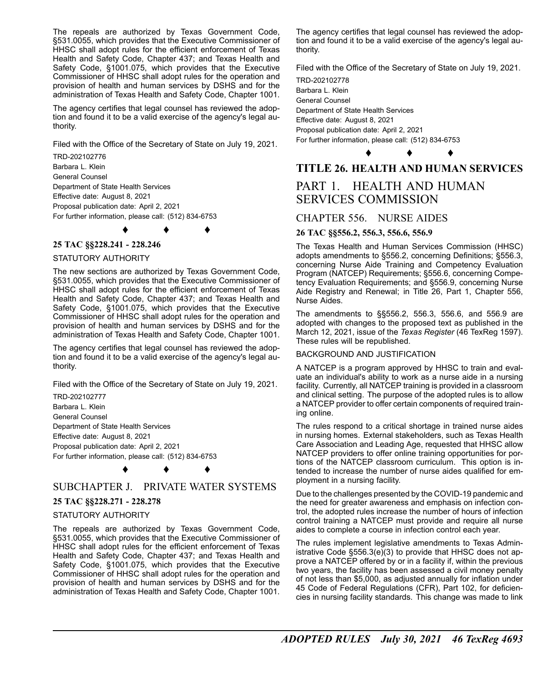The repeals are authorized by Texas Government Code, §531.0055, which provides that the Executive Commissioner of HHSC shall adopt rules for the efficient enforcement of Texas Health and Safety Code, Chapter 437; and Texas Health and Safety Code, §1001.075, which provides that the Executive Commissioner of HHSC shall adopt rules for the operation and provision of health and human services by DSHS and for the administration of Texas Health and Safety Code, Chapter 1001.

The agency certifies that legal counsel has reviewed the adoption and found it to be a valid exercise of the agency's legal authority.

Filed with the Office of the Secretary of State on July 19, 2021.

TRD-202102776 Barbara L. Klein General Counsel Department of State Health Services Effective date: August 8, 2021 Proposal publication date: April 2, 2021 For further information, please call: (512) 834-6753

♦ ♦ ♦

#### **25 TAC §§228.241 - 228.246**

#### STATUTORY AUTHORITY

The new sections are authorized by Texas Government Code, §531.0055, which provides that the Executive Commissioner of HHSC shall adopt rules for the efficient enforcement of Texas Health and Safety Code, Chapter 437; and Texas Health and Safety Code, §1001.075, which provides that the Executive Commissioner of HHSC shall adopt rules for the operation and provision of health and human services by DSHS and for the administration of Texas Health and Safety Code, Chapter 1001.

The agency certifies that legal counsel has reviewed the adoption and found it to be a valid exercise of the agency's legal authority.

Filed with the Office of the Secretary of State on July 19, 2021.

TRD-202102777 Barbara L. Klein General Counsel Department of State Health Services Effective date: August 8, 2021 Proposal publication date: April 2, 2021 For further information, please call: (512) 834-6753

♦ ♦ ♦

### SUBCHAPTER J. PRIVATE WATER SYSTEMS

#### **25 TAC §§228.271 - 228.278**

#### STATUTORY AUTHORITY

The repeals are authorized by Texas Government Code, §531.0055, which provides that the Executive Commissioner of HHSC shall adopt rules for the efficient enforcement of Texas Health and Safety Code, Chapter 437; and Texas Health and Safety Code, §1001.075, which provides that the Executive Commissioner of HHSC shall adopt rules for the operation and provision of health and human services by DSHS and for the administration of Texas Health and Safety Code, Chapter 1001.

The agency certifies that legal counsel has reviewed the adoption and found it to be a valid exercise of the agency's legal authority.

Filed with the Office of the Secretary of State on July 19, 2021.

TRD-202102778 Barbara L. Klein General Counsel Department of State Health Services Effective date: August 8, 2021 Proposal publication date: April 2, 2021 For further information, please call: (512) 834-6753

♦ ♦ ♦

# **TITLE 26. HEALTH AND HUMAN SERVICES** PART 1. HEALTH AND HUMAN SERVICES COMMISSION

### CHAPTER 556. NURSE AIDES

#### **26 TAC §§556.2, 556.3, 556.6, 556.9**

The Texas Health and Human Services Commission (HHSC) adopts amendments to §556.2, concerning Definitions; §556.3, concerning Nurse Aide Training and Competency Evaluation Program (NATCEP) Requirements; §556.6, concerning Competency Evaluation Requirements; and §556.9, concerning Nurse Aide Registry and Renewal; in Title 26, Part 1, Chapter 556, Nurse Aides.

The amendments to §§556.2, 556.3, 556.6, and 556.9 are adopted with changes to the proposed text as published in the March 12, 2021, issue of the *Texas Register* (46 TexReg 1597). These rules will be republished.

#### BACKGROUND AND JUSTIFICATION

A NATCEP is a program approved by HHSC to train and evaluate an individual's ability to work as a nurse aide in a nursing facility. Currently, all NATCEP training is provided in a classroom and clinical setting. The purpose of the adopted rules is to allow a NATCEP provider to offer certain components of required training online.

The rules respond to a critical shortage in trained nurse aides in nursing homes. External stakeholders, such as Texas Health Care Association and Leading Age, requested that HHSC allow NATCEP providers to offer online training opportunities for portions of the NATCEP classroom curriculum. This option is intended to increase the number of nurse aides qualified for employment in a nursing facility.

Due to the challenges presented by the COVID-19 pandemic and the need for greater awareness and emphasis on infection control, the adopted rules increase the number of hours of infection control training a NATCEP must provide and require all nurse aides to complete a course in infection control each year.

The rules implement legislative amendments to Texas Administrative Code §556.3(e)(3) to provide that HHSC does not approve a NATCEP offered by or in a facility if, within the previous two years, the facility has been assessed a civil money penalty of not less than \$5,000, as adjusted annually for inflation under 45 Code of Federal Regulations (CFR), Part 102, for deficiencies in nursing facility standards. This change was made to link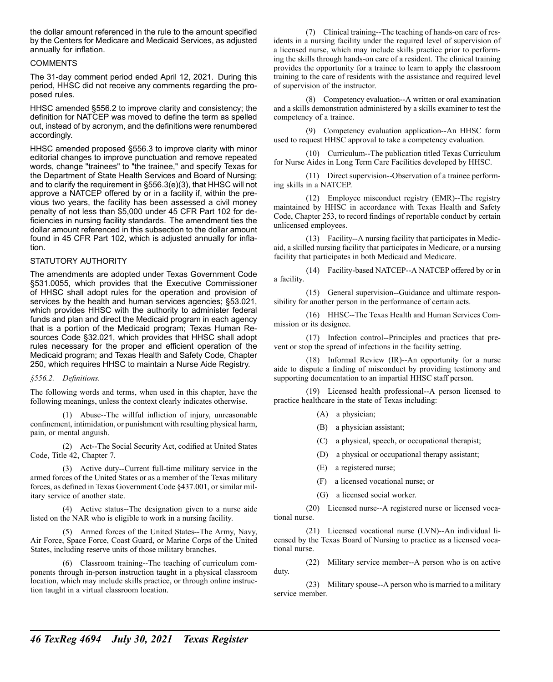the dollar amount referenced in the rule to the amount specified by the Centers for Medicare and Medicaid Services, as adjusted annually for inflation.

#### COMMENTS

The 31-day comment period ended April 12, 2021. During this period, HHSC did not receive any comments regarding the proposed rules.

HHSC amended §556.2 to improve clarity and consistency; the definition for NATCEP was moved to define the term as spelled out, instead of by acronym, and the definitions were renumbered accordingly.

HHSC amended proposed §556.3 to improve clarity with minor editorial changes to improve punctuation and remove repeated words, change "trainees" to "the trainee," and specify Texas for the Department of State Health Services and Board of Nursing; and to clarify the requirement in §556.3(e)(3), that HHSC will not approve a NATCEP offered by or in a facility if, within the previous two years, the facility has been assessed a civil money penalty of not less than \$5,000 under 45 CFR Part 102 for deficiencies in nursing facility standards. The amendment ties the dollar amount referenced in this subsection to the dollar amount found in 45 CFR Part 102, which is adjusted annually for inflation.

#### STATUTORY AUTHORITY

The amendments are adopted under Texas Government Code §531.0055, which provides that the Executive Commissioner of HHSC shall adopt rules for the operation and provision of services by the health and human services agencies; §53.021, which provides HHSC with the authority to administer federal funds and plan and direct the Medicaid program in each agency that is a portion of the Medicaid program; Texas Human Resources Code §32.021, which provides that HHSC shall adopt rules necessary for the proper and efficient operation of the Medicaid program; and Texas Health and Safety Code, Chapter 250, which requires HHSC to maintain a Nurse Aide Registry.

#### *§556.2. Definitions.*

The following words and terms, when used in this chapter, have the following meanings, unless the context clearly indicates otherwise.

(1) Abuse--The willful infliction of injury, unreasonable confinement, intimidation, or punishment with resulting physical harm, pain, or mental anguish.

(2) Act--The Social Security Act, codified at United States Code, Title 42, Chapter 7.

(3) Active duty--Current full-time military service in the armed forces of the United States or as a member of the Texas military forces, as defined in Texas Government Code §437.001, or similar military service of another state.

(4) Active status--The designation given to a nurse aide listed on the NAR who is eligible to work in a nursing facility.

(5) Armed forces of the United States--The Army, Navy, Air Force, Space Force, Coast Guard, or Marine Corps of the United States, including reserve units of those military branches.

(6) Classroom training--The teaching of curriculum components through in-person instruction taught in a physical classroom location, which may include skills practice, or through online instruction taught in a virtual classroom location.

(7) Clinical training--The teaching of hands-on care of residents in a nursing facility under the required level of supervision of a licensed nurse, which may include skills practice prior to performing the skills through hands-on care of a resident. The clinical training provides the opportunity for a trainee to learn to apply the classroom training to the care of residents with the assistance and required level of supervision of the instructor.

(8) Competency evaluation--A written or oral examination and a skills demonstration administered by a skills examiner to test the competency of a trainee.

(9) Competency evaluation application--An HHSC form used to request HHSC approval to take a competency evaluation.

(10) Curriculum--The publication titled Texas Curriculum for Nurse Aides in Long Term Care Facilities developed by HHSC.

(11) Direct supervision--Observation of a trainee performing skills in a NATCEP.

(12) Employee misconduct registry (EMR)--The registry maintained by HHSC in accordance with Texas Health and Safety Code, Chapter 253, to record findings of reportable conduct by certain unlicensed employees.

(13) Facility--A nursing facility that participates in Medicaid, a skilled nursing facility that participates in Medicare, or a nursing facility that participates in both Medicaid and Medicare.

(14) Facility-based NATCEP--A NATCEP offered by or in a facility.

(15) General supervision--Guidance and ultimate responsibility for another person in the performance of certain acts.

(16) HHSC--The Texas Health and Human Services Commission or its designee.

(17) Infection control--Principles and practices that prevent or stop the spread of infections in the facility setting.

(18) Informal Review (IR)--An opportunity for a nurse aide to dispute a finding of misconduct by providing testimony and supporting documentation to an impartial HHSC staff person.

(19) Licensed health professional--A person licensed to practice healthcare in the state of Texas including:

- (A) a physician;
- (B) a physician assistant;
- (C) a physical, speech, or occupational therapist;
- (D) a physical or occupational therapy assistant;
- (E) a registered nurse;
- (F) a licensed vocational nurse; or
- (G) a licensed social worker.

(20) Licensed nurse--A registered nurse or licensed vocational nurse.

(21) Licensed vocational nurse (LVN)--An individual licensed by the Texas Board of Nursing to practice as a licensed vocational nurse.

(22) Military service member--A person who is on active duty.

(23) Military spouse--A person who is married to a military service member.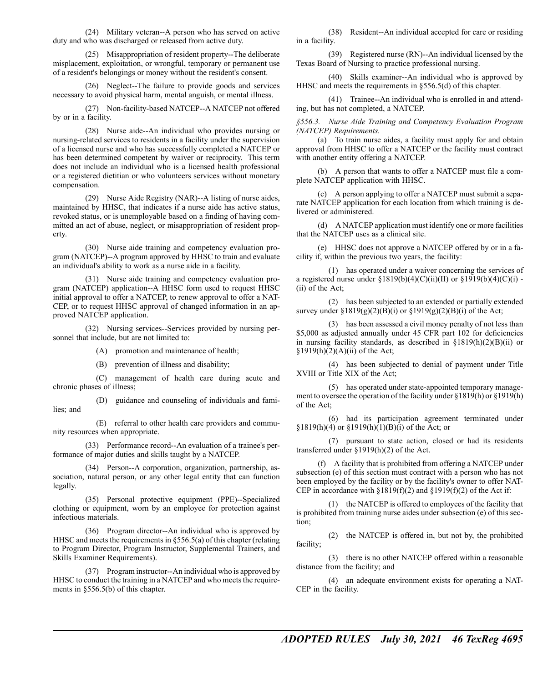(24) Military veteran--A person who has served on active duty and who was discharged or released from active duty.

(25) Misappropriation of resident property--The deliberate misplacement, exploitation, or wrongful, temporary or permanent use of a resident's belongings or money without the resident's consent.

(26) Neglect--The failure to provide goods and services necessary to avoid physical harm, mental anguish, or mental illness.

(27) Non-facility-based NATCEP--A NATCEP not offered by or in a facility.

(28) Nurse aide--An individual who provides nursing or nursing-related services to residents in a facility under the supervision of a licensed nurse and who has successfully completed a NATCEP or has been determined competent by waiver or reciprocity. This term does not include an individual who is a licensed health professional or a registered dietitian or who volunteers services without monetary compensation.

(29) Nurse Aide Registry (NAR)--A listing of nurse aides, maintained by HHSC, that indicates if a nurse aide has active status, revoked status, or is unemployable based on a finding of having committed an act of abuse, neglect, or misappropriation of resident property.

(30) Nurse aide training and competency evaluation program (NATCEP)--A program approved by HHSC to train and evaluate an individual's ability to work as a nurse aide in a facility.

(31) Nurse aide training and competency evaluation program (NATCEP) application--A HHSC form used to request HHSC initial approval to offer a NATCEP, to renew approval to offer a NAT-CEP, or to request HHSC approval of changed information in an approved NATCEP application.

(32) Nursing services--Services provided by nursing personnel that include, but are not limited to:

(A) promotion and maintenance of health;

(B) prevention of illness and disability;

(C) management of health care during acute and chronic phases of illness;

(D) guidance and counseling of individuals and families; and

(E) referral to other health care providers and community resources when appropriate.

(33) Performance record--An evaluation of a trainee's performance of major duties and skills taught by a NATCEP.

(34) Person--A corporation, organization, partnership, association, natural person, or any other legal entity that can function legally.

(35) Personal protective equipment (PPE)--Specialized clothing or equipment, worn by an employee for protection against infectious materials.

(36) Program director--An individual who is approved by HHSC and meets the requirements in  $\S 556.5(a)$  of this chapter (relating to Program Director, Program Instructor, Supplemental Trainers, and Skills Examiner Requirements).

(37) Program instructor--An individual who is approved by HHSC to conduct the training in a NATCEP and who meets the requirements in §556.5(b) of this chapter.

(38) Resident--An individual accepted for care or residing in a facility.

(39) Registered nurse (RN)--An individual licensed by the Texas Board of Nursing to practice professional nursing.

(40) Skills examiner--An individual who is approved by HHSC and meets the requirements in §556.5(d) of this chapter.

(41) Trainee--An individual who is enrolled in and attending, but has not completed, a NATCEP.

*§556.3. Nurse Aide Training and Competency Evaluation Program (NATCEP) Requirements.*

(a) To train nurse aides, a facility must apply for and obtain approval from HHSC to offer a NATCEP or the facility must contract with another entity offering a NATCEP.

(b) A person that wants to offer a NATCEP must file a complete NATCEP application with HHSC.

(c) A person applying to offer a NATCEP must submit a separate NATCEP application for each location from which training is delivered or administered.

(d) A NATCEP application must identify one or more facilities that the NATCEP uses as a clinical site.

(e) HHSC does not approve a NATCEP offered by or in a facility if, within the previous two years, the facility:

(1) has operated under a waiver concerning the services of a registered nurse under  $$1819(b)(4)(C)(ii)(II)$  or  $$1919(b)(4)(C)(i)$ . (ii) of the Act;

(2) has been subjected to an extended or partially extended survey under  $\frac{81819(g)(2)(B)(i)}{2}$  or  $\frac{81919(g)(2)(B)(i)}{2}$  of the Act;

(3) has been assessed a civil money penalty of not less than \$5,000 as adjusted annually under 45 CFR part 102 for deficiencies in nursing facility standards, as described in §1819(h)(2)(B)(ii) or  $§1919(h)(2)(A)(ii)$  of the Act;

(4) has been subjected to denial of payment under Title XVIII or Title XIX of the Act;

(5) has operated under state-appointed temporary management to oversee the operation of the facility under §1819(h) or §1919(h) of the Act;

(6) had its participation agreement terminated under §1819(h)(4) or §1919(h)(1)(B)(i) of the Act; or

(7) pursuant to state action, closed or had its residents transferred under §1919(h)(2) of the Act.

(f) A facility that is prohibited from offering a NATCEP under subsection (e) of this section must contract with a person who has not been employed by the facility or by the facility's owner to offer NAT-CEP in accordance with  $\S 1819(f)(2)$  and  $\S 1919(f)(2)$  of the Act if:

(1) the NATCEP is offered to employees of the facility that is prohibited from training nurse aides under subsection (e) of this section;

(2) the NATCEP is offered in, but not by, the prohibited facility;

(3) there is no other NATCEP offered within a reasonable distance from the facility; and

(4) an adequate environment exists for operating a NAT-CEP in the facility.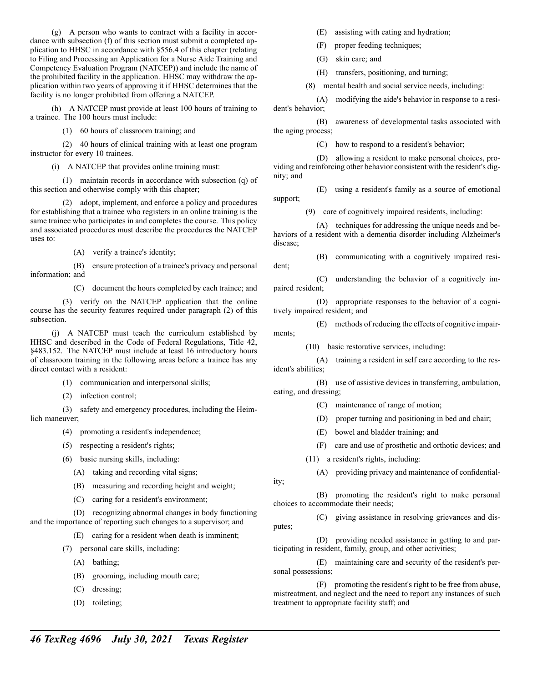(g) A person who wants to contract with a facility in accordance with subsection (f) of this section must submit a completed application to HHSC in accordance with §556.4 of this chapter (relating to Filing and Processing an Application for a Nurse Aide Training and Competency Evaluation Program (NATCEP)) and include the name of the prohibited facility in the application. HHSC may withdraw the application within two years of approving it if HHSC determines that the facility is no longer prohibited from offering a NATCEP.

(h) A NATCEP must provide at least 100 hours of training to a trainee. The 100 hours must include:

(1) 60 hours of classroom training; and

(2) 40 hours of clinical training with at least one program instructor for every 10 trainees.

(i) A NATCEP that provides online training must:

(1) maintain records in accordance with subsection (q) of this section and otherwise comply with this chapter;

(2) adopt, implement, and enforce a policy and procedures for establishing that a trainee who registers in an online training is the same trainee who participates in and completes the course. This policy and associated procedures must describe the procedures the NATCEP uses to:

(A) verify a trainee's identity;

(B) ensure protection of a trainee's privacy and personal information; and

(C) document the hours completed by each trainee; and

(3) verify on the NATCEP application that the online course has the security features required under paragraph (2) of this subsection.

(j) A NATCEP must teach the curriculum established by HHSC and described in the Code of Federal Regulations, Title 42, §483.152. The NATCEP must include at least 16 introductory hours of classroom training in the following areas before a trainee has any direct contact with a resident:

(1) communication and interpersonal skills;

(2) infection control;

(3) safety and emergency procedures, including the Heimlich maneuver;

(4) promoting a resident's independence;

- (5) respecting a resident's rights;
- (6) basic nursing skills, including:
	- (A) taking and recording vital signs;
	- (B) measuring and recording height and weight;
	- (C) caring for a resident's environment;

(D) recognizing abnormal changes in body functioning and the importance of reporting such changes to a supervisor; and

(E) caring for a resident when death is imminent;

(7) personal care skills, including:

- (A) bathing;
- (B) grooming, including mouth care;
- (C) dressing;
- (D) toileting;
- (E) assisting with eating and hydration;
- (F) proper feeding techniques;
- (G) skin care; and

dent;

ity;

(H) transfers, positioning, and turning;

(8) mental health and social service needs, including:

(A) modifying the aide's behavior in response to a resident's behavior;

(B) awareness of developmental tasks associated with the aging process;

(C) how to respond to a resident's behavior;

(D) allowing a resident to make personal choices, providing and reinforcing other behavior consistent with the resident's dignity; and

(E) using a resident's family as a source of emotional support;

(9) care of cognitively impaired residents, including:

(A) techniques for addressing the unique needs and behaviors of a resident with a dementia disorder including Alzheimer's disease;

(B) communicating with a cognitively impaired resi-

(C) understanding the behavior of a cognitively impaired resident;

(D) appropriate responses to the behavior of a cognitively impaired resident; and

(E) methods of reducing the effects of cognitive impairments;

(10) basic restorative services, including:

(A) training a resident in self care according to the resident's abilities;

(B) use of assistive devices in transferring, ambulation, eating, and dressing;

(C) maintenance of range of motion;

(D) proper turning and positioning in bed and chair;

(E) bowel and bladder training; and

(F) care and use of prosthetic and orthotic devices; and

(11) a resident's rights, including:

(A) providing privacy and maintenance of confidential-

(B) promoting the resident's right to make personal choices to accommodate their needs;

(C) giving assistance in resolving grievances and disputes;

(D) providing needed assistance in getting to and participating in resident, family, group, and other activities;

(E) maintaining care and security of the resident's personal possessions;

(F) promoting the resident's right to be free from abuse, mistreatment, and neglect and the need to report any instances of such treatment to appropriate facility staff; and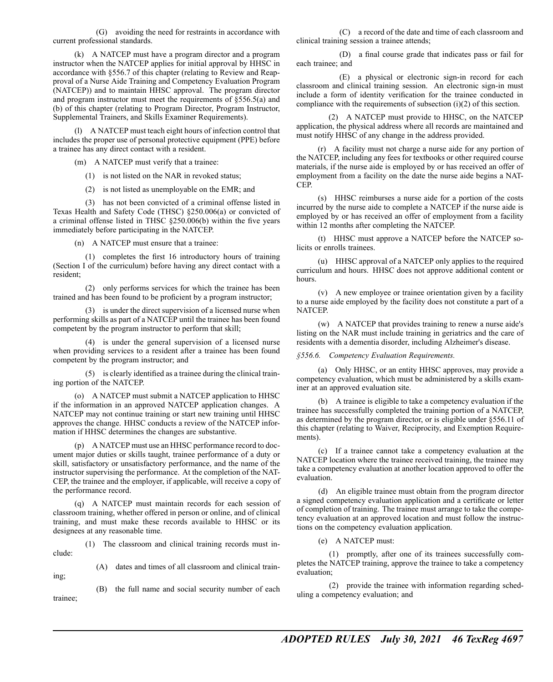(G) avoiding the need for restraints in accordance with current professional standards.

(k) A NATCEP must have a program director and a program instructor when the NATCEP applies for initial approval by HHSC in accordance with §556.7 of this chapter (relating to Review and Reapproval of a Nurse Aide Training and Competency Evaluation Program (NATCEP)) and to maintain HHSC approval. The program director and program instructor must meet the requirements of §556.5(a) and (b) of this chapter (relating to Program Director, Program Instructor, Supplemental Trainers, and Skills Examiner Requirements).

(l) A NATCEP must teach eight hours of infection control that includes the proper use of personal protective equipment (PPE) before a trainee has any direct contact with a resident.

(m) A NATCEP must verify that a trainee:

(1) is not listed on the NAR in revoked status;

(2) is not listed as unemployable on the EMR; and

(3) has not been convicted of a criminal offense listed in Texas Health and Safety Code (THSC) §250.006(a) or convicted of a criminal offense listed in THSC §250.006(b) within the five years immediately before participating in the NATCEP.

(n) A NATCEP must ensure that a trainee:

(1) completes the first 16 introductory hours of training (Section I of the curriculum) before having any direct contact with a resident;

(2) only performs services for which the trainee has been trained and has been found to be proficient by a program instructor;

(3) is under the direct supervision of a licensed nurse when performing skills as part of a NATCEP until the trainee has been found competent by the program instructor to perform that skill;

(4) is under the general supervision of a licensed nurse when providing services to a resident after a trainee has been found competent by the program instructor; and

(5) is clearly identified as a trainee during the clinical training portion of the NATCEP.

(o) A NATCEP must submit a NATCEP application to HHSC if the information in an approved NATCEP application changes. A NATCEP may not continue training or start new training until HHSC approves the change. HHSC conducts a review of the NATCEP information if HHSC determines the changes are substantive.

(p) A NATCEP must use an HHSC performance record to document major duties or skills taught, trainee performance of a duty or skill, satisfactory or unsatisfactory performance, and the name of the instructor supervising the performance. At the completion of the NAT-CEP, the trainee and the employer, if applicable, will receive a copy of the performance record.

(q) A NATCEP must maintain records for each session of classroom training, whether offered in person or online, and of clinical training, and must make these records available to HHSC or its designees at any reasonable time.

(1) The classroom and clinical training records must include:

ing;

(A) dates and times of all classroom and clinical train-

(B) the full name and social security number of each trainee;

(C) a record of the date and time of each classroom and clinical training session a trainee attends;

(D) a final course grade that indicates pass or fail for each trainee; and

(E) a physical or electronic sign-in record for each classroom and clinical training session. An electronic sign-in must include a form of identity verification for the trainee conducted in compliance with the requirements of subsection  $(i)(2)$  of this section.

(2) A NATCEP must provide to HHSC, on the NATCEP application, the physical address where all records are maintained and must notify HHSC of any change in the address provided.

(r) A facility must not charge a nurse aide for any portion of the NATCEP, including any fees for textbooks or other required course materials, if the nurse aide is employed by or has received an offer of employment from a facility on the date the nurse aide begins a NAT-CEP.

(s) HHSC reimburses a nurse aide for a portion of the costs incurred by the nurse aide to complete a NATCEP if the nurse aide is employed by or has received an offer of employment from a facility within 12 months after completing the NATCEP.

(t) HHSC must approve a NATCEP before the NATCEP solicits or enrolls trainees.

(u) HHSC approval of a NATCEP only applies to the required curriculum and hours. HHSC does not approve additional content or hours.

(v) A new employee or trainee orientation given by a facility to a nurse aide employed by the facility does not constitute a part of a NATCEP.

(w) A NATCEP that provides training to renew a nurse aide's listing on the NAR must include training in geriatrics and the care of residents with a dementia disorder, including Alzheimer's disease.

*§556.6. Competency Evaluation Requirements.*

(a) Only HHSC, or an entity HHSC approves, may provide a competency evaluation, which must be administered by a skills examiner at an approved evaluation site.

(b) A trainee is eligible to take a competency evaluation if the trainee has successfully completed the training portion of a NATCEP, as determined by the program director, or is eligible under §556.11 of this chapter (relating to Waiver, Reciprocity, and Exemption Requirements).

(c) If a trainee cannot take a competency evaluation at the NATCEP location where the trainee received training, the trainee may take a competency evaluation at another location approved to offer the evaluation.

(d) An eligible trainee must obtain from the program director a signed competency evaluation application and a certificate or letter of completion of training. The trainee must arrange to take the competency evaluation at an approved location and must follow the instructions on the competency evaluation application.

(e) A NATCEP must:

(1) promptly, after one of its trainees successfully completes the NATCEP training, approve the trainee to take a competency evaluation;

(2) provide the trainee with information regarding scheduling a competency evaluation; and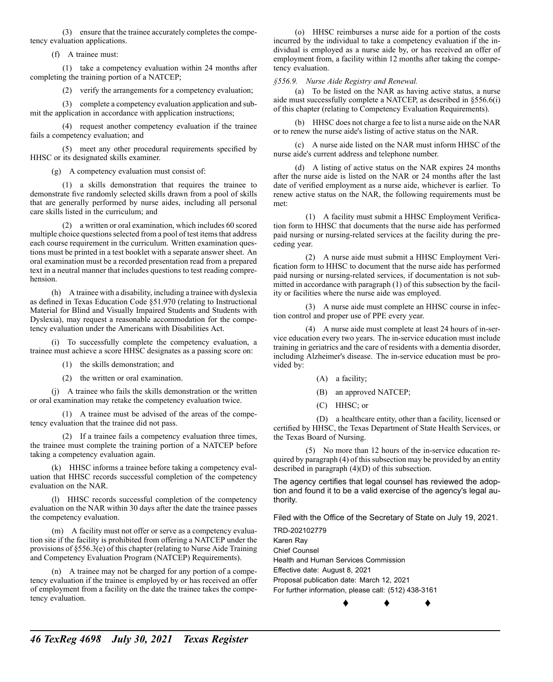(3) ensure that the trainee accurately completes the competency evaluation applications.

(f) A trainee must:

(1) take a competency evaluation within 24 months after completing the training portion of a NATCEP;

(2) verify the arrangements for a competency evaluation;

(3) complete a competency evaluation application and submit the application in accordance with application instructions;

(4) request another competency evaluation if the trainee fails a competency evaluation; and

(5) meet any other procedural requirements specified by HHSC or its designated skills examiner.

(g) A competency evaluation must consist of:

(1) a skills demonstration that requires the trainee to demonstrate five randomly selected skills drawn from a pool of skills that are generally performed by nurse aides, including all personal care skills listed in the curriculum; and

(2) a written or oral examination, which includes 60 scored multiple choice questions selected from a pool of test items that address each course requirement in the curriculum. Written examination questions must be printed in a test booklet with a separate answer sheet. An oral examination must be a recorded presentation read from a prepared text in a neutral manner that includes questions to test reading comprehension.

(h) A trainee with a disability, including a trainee with dyslexia as defined in Texas Education Code §51.970 (relating to Instructional Material for Blind and Visually Impaired Students and Students with Dyslexia), may request a reasonable accommodation for the competency evaluation under the Americans with Disabilities Act.

(i) To successfully complete the competency evaluation, a trainee must achieve a score HHSC designates as a passing score on:

(1) the skills demonstration; and

(2) the written or oral examination.

(j) A trainee who fails the skills demonstration or the written or oral examination may retake the competency evaluation twice.

(1) A trainee must be advised of the areas of the competency evaluation that the trainee did not pass.

(2) If a trainee fails a competency evaluation three times, the trainee must complete the training portion of a NATCEP before taking a competency evaluation again.

(k) HHSC informs a trainee before taking a competency evaluation that HHSC records successful completion of the competency evaluation on the NAR.

(l) HHSC records successful completion of the competency evaluation on the NAR within 30 days after the date the trainee passes the competency evaluation.

(m) A facility must not offer or serve as a competency evaluation site if the facility is prohibited from offering a NATCEP under the provisions of §556.3(e) of this chapter (relating to Nurse Aide Training and Competency Evaluation Program (NATCEP) Requirements).

(n) A trainee may not be charged for any portion of a competency evaluation if the trainee is employed by or has received an offer of employment from a facility on the date the trainee takes the competency evaluation.

(o) HHSC reimburses a nurse aide for a portion of the costs incurred by the individual to take a competency evaluation if the individual is employed as a nurse aide by, or has received an offer of employment from, a facility within 12 months after taking the competency evaluation.

#### *§556.9. Nurse Aide Registry and Renewal.*

(a) To be listed on the NAR as having active status, a nurse aide must successfully complete a NATCEP, as described in §556.6(i) of this chapter (relating to Competency Evaluation Requirements).

(b) HHSC does not charge a fee to list a nurse aide on the NAR or to renew the nurse aide's listing of active status on the NAR.

(c) A nurse aide listed on the NAR must inform HHSC of the nurse aide's current address and telephone number.

(d) A listing of active status on the NAR expires 24 months after the nurse aide is listed on the NAR or 24 months after the last date of verified employment as a nurse aide, whichever is earlier. To renew active status on the NAR, the following requirements must be met:

(1) A facility must submit a HHSC Employment Verification form to HHSC that documents that the nurse aide has performed paid nursing or nursing-related services at the facility during the preceding year.

(2) A nurse aide must submit a HHSC Employment Verification form to HHSC to document that the nurse aide has performed paid nursing or nursing-related services, if documentation is not submitted in accordance with paragraph (1) of this subsection by the facility or facilities where the nurse aide was employed.

(3) A nurse aide must complete an HHSC course in infection control and proper use of PPE every year.

(4) A nurse aide must complete at least 24 hours of in-service education every two years. The in-service education must include training in geriatrics and the care of residents with a dementia disorder, including Alzheimer's disease. The in-service education must be provided by:

(A) a facility;

(B) an approved NATCEP;

(C) HHSC; or

(D) a healthcare entity, other than a facility, licensed or certified by HHSC, the Texas Department of State Health Services, or the Texas Board of Nursing.

(5) No more than 12 hours of the in-service education required by paragraph (4) of this subsection may be provided by an entity described in paragraph (4)(D) of this subsection.

The agency certifies that legal counsel has reviewed the adoption and found it to be a valid exercise of the agency's legal authority.

Filed with the Office of the Secretary of State on July 19, 2021.

TRD-202102779 Karen Ray Chief Counsel Health and Human Services Commission Effective date: August 8, 2021 Proposal publication date: March 12, 2021 For further information, please call: (512) 438-3161

♦ ♦ ♦